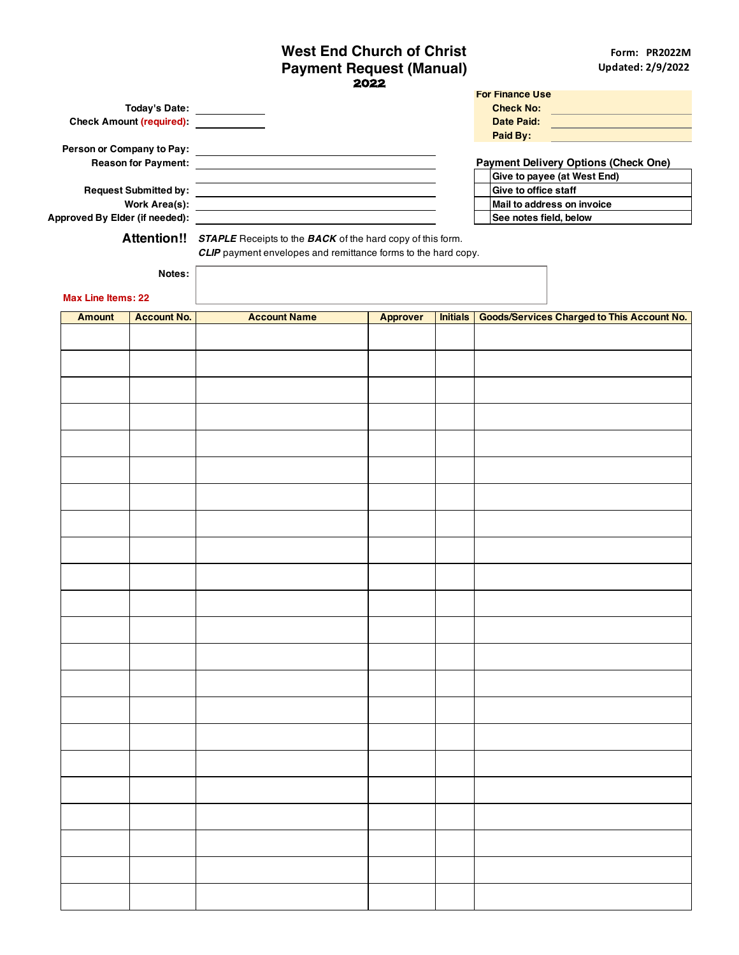## **2022 West End Church of Christ Payment Request (Manual)**

|                                     |                           |                            |                                                                                                                                         |                 |                 | <b>For Finance Use</b>                            |                                                                                                                      |  |
|-------------------------------------|---------------------------|----------------------------|-----------------------------------------------------------------------------------------------------------------------------------------|-----------------|-----------------|---------------------------------------------------|----------------------------------------------------------------------------------------------------------------------|--|
|                                     |                           |                            | Today's Date:                                                                                                                           |                 |                 | <b>Check No:</b>                                  | <u> 1989 - Johann Barn, mars eta inperiodo</u>                                                                       |  |
|                                     |                           |                            | Check Amount (required): <b>Check Amount (required)</b>                                                                                 |                 |                 | <b>Date Paid:</b><br>Paid By:                     | <u> 1989 - Johann Barn, mars eta bainar eta industrial eta erromana eta erromana eta erromana eta erromana eta e</u> |  |
|                                     | Person or Company to Pay: |                            |                                                                                                                                         |                 |                 |                                                   |                                                                                                                      |  |
|                                     |                           | <b>Reason for Payment:</b> | <u> 1989 - Johann Barn, amerikan besteman besteman besteman besteman besteman besteman besteman besteman bestema</u>                    |                 |                 |                                                   | <b>Payment Delivery Options (Check One)</b>                                                                          |  |
|                                     |                           |                            | <u> Alexandria de la contrada de la contrada de la contrada de la contrada de la contrada de la contrada de la c</u>                    |                 |                 |                                                   | Give to payee (at West End)                                                                                          |  |
|                                     |                           |                            |                                                                                                                                         |                 |                 | Give to office staff                              |                                                                                                                      |  |
|                                     |                           |                            |                                                                                                                                         |                 |                 |                                                   | Mail to address on invoice                                                                                           |  |
|                                     |                           |                            |                                                                                                                                         |                 |                 | See notes field, below                            |                                                                                                                      |  |
|                                     |                           |                            | Attention!! STAPLE Receipts to the BACK of the hard copy of this form.<br>CLIP payment envelopes and remittance forms to the hard copy. |                 |                 |                                                   |                                                                                                                      |  |
| Notes:<br><b>Max Line Items: 22</b> |                           |                            |                                                                                                                                         |                 |                 |                                                   |                                                                                                                      |  |
|                                     |                           |                            |                                                                                                                                         |                 |                 | <b>Goods/Services Charged to This Account No.</b> |                                                                                                                      |  |
|                                     | <b>Amount</b>             | <b>Account No.</b>         | <b>Account Name</b>                                                                                                                     | <b>Approver</b> | <b>Initials</b> |                                                   |                                                                                                                      |  |
|                                     |                           |                            |                                                                                                                                         |                 |                 |                                                   |                                                                                                                      |  |
|                                     |                           |                            |                                                                                                                                         |                 |                 |                                                   |                                                                                                                      |  |
|                                     |                           |                            |                                                                                                                                         |                 |                 |                                                   |                                                                                                                      |  |
|                                     |                           |                            |                                                                                                                                         |                 |                 |                                                   |                                                                                                                      |  |
|                                     |                           |                            |                                                                                                                                         |                 |                 |                                                   |                                                                                                                      |  |
|                                     |                           |                            |                                                                                                                                         |                 |                 |                                                   |                                                                                                                      |  |
|                                     |                           |                            |                                                                                                                                         |                 |                 |                                                   |                                                                                                                      |  |
|                                     |                           |                            |                                                                                                                                         |                 |                 |                                                   |                                                                                                                      |  |
|                                     |                           |                            |                                                                                                                                         |                 |                 |                                                   |                                                                                                                      |  |
|                                     |                           |                            |                                                                                                                                         |                 |                 |                                                   |                                                                                                                      |  |
|                                     |                           |                            |                                                                                                                                         |                 |                 |                                                   |                                                                                                                      |  |
|                                     |                           |                            |                                                                                                                                         |                 |                 |                                                   |                                                                                                                      |  |
|                                     |                           |                            |                                                                                                                                         |                 |                 |                                                   |                                                                                                                      |  |
|                                     |                           |                            |                                                                                                                                         |                 |                 |                                                   |                                                                                                                      |  |
|                                     |                           |                            |                                                                                                                                         |                 |                 |                                                   |                                                                                                                      |  |
|                                     |                           |                            |                                                                                                                                         |                 |                 |                                                   |                                                                                                                      |  |
|                                     |                           |                            |                                                                                                                                         |                 |                 |                                                   |                                                                                                                      |  |
|                                     |                           |                            |                                                                                                                                         |                 |                 |                                                   |                                                                                                                      |  |
|                                     |                           |                            |                                                                                                                                         |                 |                 |                                                   |                                                                                                                      |  |
|                                     |                           |                            |                                                                                                                                         |                 |                 |                                                   |                                                                                                                      |  |
|                                     |                           |                            |                                                                                                                                         |                 |                 |                                                   |                                                                                                                      |  |
|                                     |                           |                            |                                                                                                                                         |                 |                 |                                                   |                                                                                                                      |  |